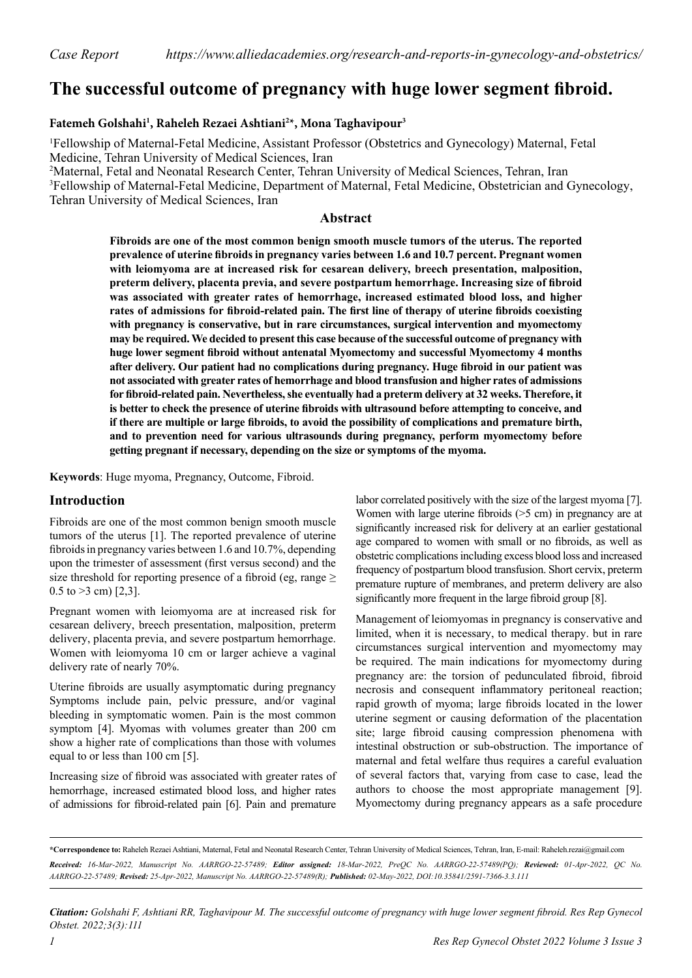# **The successful outcome of pregnancy with huge lower segment fibroid.**

### **Fatemeh Golshahi1 , Raheleh Rezaei Ashtiani2 \*, Mona Taghavipour3**

1 Fellowship of Maternal-Fetal Medicine, Assistant Professor (Obstetrics and Gynecology) Maternal, Fetal Medicine, Tehran University of Medical Sciences, Iran

2 Maternal, Fetal and Neonatal Research Center, Tehran University of Medical Sciences, Tehran, Iran <sup>3</sup>Fellowship of Maternal-Fetal Medicine, Department of Maternal, Fetal Medicine, Obstetrician and Gynecology, Tehran University of Medical Sciences, Iran

#### **Abstract**

**Fibroids are one of the most common benign smooth muscle tumors of the uterus. The reported prevalence of uterine fibroids in pregnancy varies between 1.6 and 10.7 percent. Pregnant women with leiomyoma are at increased risk for cesarean delivery, breech presentation, malposition, preterm delivery, placenta previa, and severe postpartum hemorrhage. Increasing size of fibroid was associated with greater rates of hemorrhage, increased estimated blood loss, and higher rates of admissions for fibroid-related pain. The first line of therapy of uterine fibroids coexisting with pregnancy is conservative, but in rare circumstances, surgical intervention and myomectomy may be required. We decided to present this case because of the successful outcome of pregnancy with huge lower segment fibroid without antenatal Myomectomy and successful Myomectomy 4 months after delivery. Our patient had no complications during pregnancy. Huge fibroid in our patient was not associated with greater rates of hemorrhage and blood transfusion and higher rates of admissions for fibroid-related pain. Nevertheless, she eventually had a preterm delivery at 32 weeks. Therefore, it is better to check the presence of uterine fibroids with ultrasound before attempting to conceive, and if there are multiple or large fibroids, to avoid the possibility of complications and premature birth, and to prevention need for various ultrasounds during pregnancy, perform myomectomy before getting pregnant if necessary, depending on the size or symptoms of the myoma.**

**Keywords**: Huge myoma, Pregnancy, Outcome, Fibroid.

## **Introduction**

Fibroids are one of the most common benign smooth muscle tumors of the uterus [1]. The reported prevalence of uterine fibroids in pregnancy varies between 1.6 and 10.7%, depending upon the trimester of assessment (first versus second) and the size threshold for reporting presence of a fibroid (eg, range  $\geq$  $0.5$  to  $>3$  cm) [2,3].

Pregnant women with leiomyoma are at increased risk for cesarean delivery, breech presentation, malposition, preterm delivery, placenta previa, and severe postpartum hemorrhage. Women with leiomyoma 10 cm or larger achieve a vaginal delivery rate of nearly 70%.

Uterine fibroids are usually asymptomatic during pregnancy Symptoms include pain, pelvic pressure, and/or vaginal bleeding in symptomatic women. Pain is the most common symptom [4]. Myomas with volumes greater than 200 cm show a higher rate of complications than those with volumes equal to or less than 100 cm [5].

Increasing size of fibroid was associated with greater rates of hemorrhage, increased estimated blood loss, and higher rates of admissions for fibroid-related pain [6]. Pain and premature

labor correlated positively with the size of the largest myoma [7]. Women with large uterine fibroids (>5 cm) in pregnancy are at significantly increased risk for delivery at an earlier gestational age compared to women with small or no fibroids, as well as obstetric complications including excess blood loss and increased frequency of postpartum blood transfusion. Short cervix, preterm premature rupture of membranes, and preterm delivery are also significantly more frequent in the large fibroid group [8].

Management of leiomyomas in pregnancy is conservative and limited, when it is necessary, to medical therapy. but in rare circumstances surgical intervention and myomectomy may be required. The main indications for myomectomy during pregnancy are: the torsion of pedunculated fibroid, fibroid necrosis and consequent inflammatory peritoneal reaction; rapid growth of myoma; large fibroids located in the lower uterine segment or causing deformation of the placentation site; large fibroid causing compression phenomena with intestinal obstruction or sub-obstruction. The importance of maternal and fetal welfare thus requires a careful evaluation of several factors that, varying from case to case, lead the authors to choose the most appropriate management [9]. Myomectomy during pregnancy appears as a safe procedure

**\*Correspondence to:** Raheleh Rezaei Ashtiani, Maternal, Fetal and Neonatal Research Center, Tehran University of Medical Sciences, Tehran, Iran, E-mail: Raheleh.rezai@gmail.com Received: 16-Mar-2022, Manuscript No. AARRGO-22-57489; Editor assigned: 18-Mar-2022, PreOC No. AARRGO-22-57489(PO); Reviewed: 01-Apr-2022, OC No. *AARRGO-22-57489; Revised: 25-Apr-2022, Manuscript No. AARRGO-22-57489(R); Published: 02-May-2022, DOI:10.35841/2591-7366-3.3.111*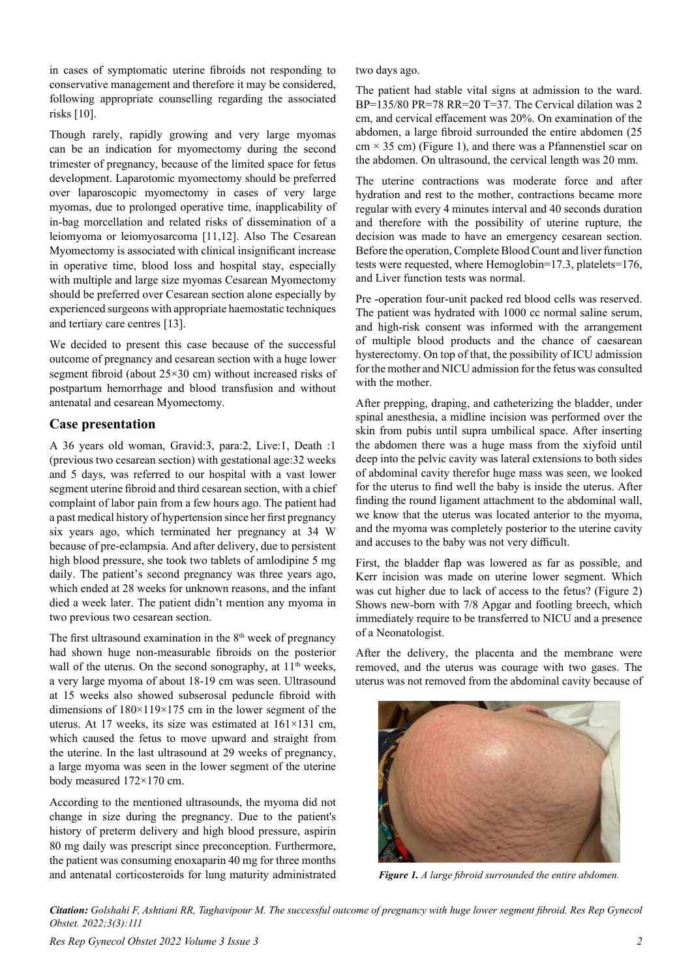in cases of symptomatic uterine fibroids not responding to conservative management and therefore it may be considered, following appropriate counselling regarding the associated risks [10].

Though rarely, rapidly growing and very large myomas can be an indication for myomectomy during the second trimester of pregnancy, because of the limited space for fetus development. Laparotomic myomectomy should be preferred over laparoscopic myomectomy in cases of very large myomas, due to prolonged operative time, inapplicability of in-bag morcellation and related risks of dissemination of a leiomyoma or leiomyosarcoma [11,12]. Also The Cesarean Myomectomy is associated with clinical insignificant increase in operative time, blood loss and hospital stay, especially with multiple and large size myomas Cesarean Myomectomy should be preferred over Cesarean section alone especially by experienced surgeons with appropriate haemostatic techniques and tertiary care centres [13].

We decided to present this case because of the successful outcome of pregnancy and cesarean section with a huge lower segment fibroid (about 25×30 cm) without increased risks of postpartum hemorrhage and blood transfusion and without antenatal and cesarean Myomectomy.

#### **Case presentation**

A 36 years old woman, Gravid:3, para:2, Live:1, Death :1 (previous two cesarean section) with gestational age:32 weeks and 5 days, was referred to our hospital with a vast lower segment uterine fibroid and third cesarean section, with a chief complaint of labor pain from a few hours ago. The patient had a past medical history of hypertension since her first pregnancy six years ago, which terminated her pregnancy at 34 W because of pre-eclampsia. And after delivery, due to persistent high blood pressure, she took two tablets of amlodipine 5 mg daily. The patient's second pregnancy was three years ago, which ended at 28 weeks for unknown reasons, and the infant died a week later. The patient didn't mention any myoma in two previous two cesarean section.

The first ultrasound examination in the  $8<sup>th</sup>$  week of pregnancy had shown huge non-measurable fibroids on the posterior wall of the uterus. On the second sonography, at 11<sup>th</sup> weeks, a very large myoma of about 18-19 cm was seen. Ultrasound at 15 weeks also showed subserosal peduncle fibroid with dimensions of 180×119×175 cm in the lower segment of the uterus. At 17 weeks, its size was estimated at 161×131 cm, which caused the fetus to move upward and straight from the uterine. In the last ultrasound at 29 weeks of pregnancy, a large myoma was seen in the lower segment of the uterine body measured 172×170 cm.

According to the mentioned ultrasounds, the myoma did not change in size during the pregnancy. Due to the patient's history of preterm delivery and high blood pressure, aspirin 80 mg daily was prescript since preconception. Furthermore, the patient was consuming enoxaparin 40 mg for three months and antenatal corticosteroids for lung maturity administrated

two days ago.

The patient had stable vital signs at admission to the ward. BP=135/80 PR=78 RR=20 T=37. The Cervical dilation was 2 cm, and cervical effacement was 20%. On examination of the abdomen, a large fibroid surrounded the entire abdomen (25  $cm \times 35$  cm) (Figure 1), and there was a Pfannenstiel scar on the abdomen. On ultrasound, the cervical length was 20 mm.

The uterine contractions was moderate force and after hydration and rest to the mother, contractions became more regular with every 4 minutes interval and 40 seconds duration and therefore with the possibility of uterine rupture, the decision was made to have an emergency cesarean section. Before the operation, Complete Blood Count and liver function tests were requested, where Hemoglobin=17.3, platelets=176, and Liver function tests was normal.

Pre -operation four-unit packed red blood cells was reserved. The patient was hydrated with 1000 cc normal saline serum, and high-risk consent was informed with the arrangement of multiple blood products and the chance of caesarean hysterectomy. On top of that, the possibility of ICU admission for the mother and NICU admission for the fetus was consulted with the mother.

After prepping, draping, and catheterizing the bladder, under spinal anesthesia, a midline incision was performed over the skin from pubis until supra umbilical space. After inserting the abdomen there was a huge mass from the xiyfoid until deep into the pelvic cavity was lateral extensions to both sides of abdominal cavity therefor huge mass was seen, we looked for the uterus to find well the baby is inside the uterus. After finding the round ligament attachment to the abdominal wall, we know that the uterus was located anterior to the myoma, and the myoma was completely posterior to the uterine cavity and accuses to the baby was not very difficult.

First, the bladder flap was lowered as far as possible, and Kerr incision was made on uterine lower segment. Which was cut higher due to lack of access to the fetus? (Figure 2) Shows new-born with 7/8 Apgar and footling breech, which immediately require to be transferred to NICU and a presence of a Neonatologist.

After the delivery, the placenta and the membrane were removed, and the uterus was courage with two gases. The uterus was not removed from the abdominal cavity because of



*Figure 1. A large fibroid surrounded the entire abdomen.*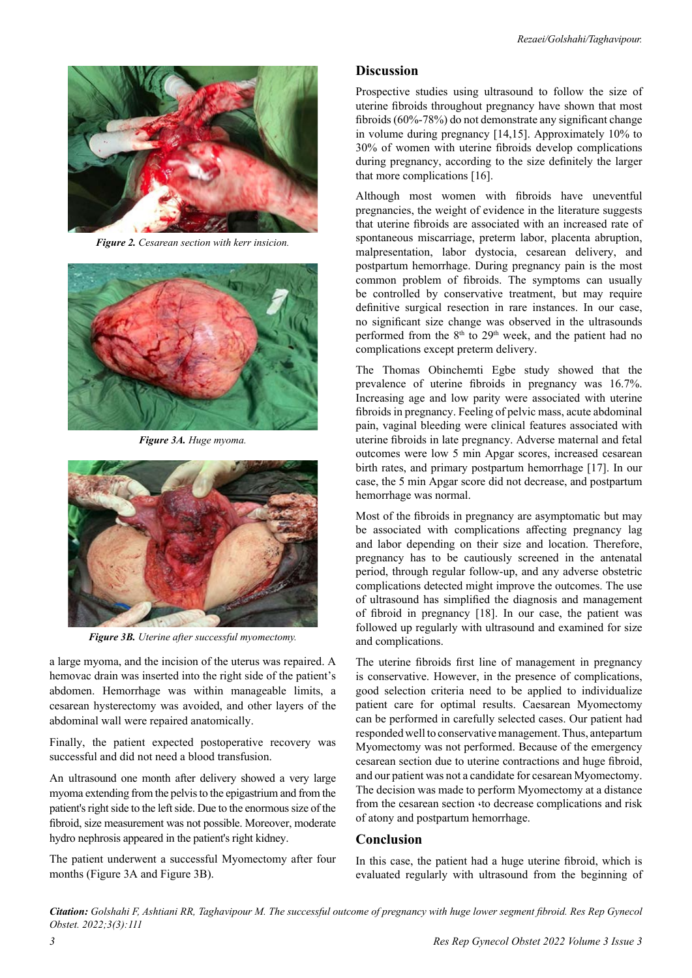

*Figure 2. Cesarean section with kerr insicion.*



*Figure 3A. Huge myoma.*



*Figure 3B. Uterine after successful myomectomy.*

a large myoma, and the incision of the uterus was repaired. A hemovac drain was inserted into the right side of the patient's abdomen. Hemorrhage was within manageable limits, a cesarean hysterectomy was avoided, and other layers of the abdominal wall were repaired anatomically.

Finally, the patient expected postoperative recovery was successful and did not need a blood transfusion.

An ultrasound one month after delivery showed a very large myoma extending from the pelvis to the epigastrium and from the patient's right side to the left side. Due to the enormous size of the fibroid, size measurement was not possible. Moreover, moderate hydro nephrosis appeared in the patient's right kidney.

The patient underwent a successful Myomectomy after four months (Figure 3A and Figure 3B).

#### **Discussion**

Prospective studies using ultrasound to follow the size of uterine fibroids throughout pregnancy have shown that most fibroids (60%-78%) do not demonstrate any significant change in volume during pregnancy [14,15]. Approximately 10% to 30% of women with uterine fibroids develop complications during pregnancy, according to the size definitely the larger that more complications [16].

Although most women with fibroids have uneventful pregnancies, the weight of evidence in the literature suggests that uterine fibroids are associated with an increased rate of spontaneous miscarriage, preterm labor, placenta abruption, malpresentation, labor dystocia, cesarean delivery, and postpartum hemorrhage. During pregnancy pain is the most common problem of fibroids. The symptoms can usually be controlled by conservative treatment, but may require definitive surgical resection in rare instances. In our case, no significant size change was observed in the ultrasounds performed from the 8<sup>th</sup> to 29<sup>th</sup> week, and the patient had no complications except preterm delivery.

The Thomas Obinchemti Egbe study showed that the prevalence of uterine fibroids in pregnancy was 16.7%. Increasing age and low parity were associated with uterine fibroids in pregnancy. Feeling of pelvic mass, acute abdominal pain, vaginal bleeding were clinical features associated with uterine fibroids in late pregnancy. Adverse maternal and fetal outcomes were low 5 min Apgar scores, increased cesarean birth rates, and primary postpartum hemorrhage [17]. In our case, the 5 min Apgar score did not decrease, and postpartum hemorrhage was normal.

Most of the fibroids in pregnancy are asymptomatic but may be associated with complications affecting pregnancy lag and labor depending on their size and location. Therefore, pregnancy has to be cautiously screened in the antenatal period, through regular follow-up, and any adverse obstetric complications detected might improve the outcomes. The use of ultrasound has simplified the diagnosis and management of fibroid in pregnancy [18]. In our case, the patient was followed up regularly with ultrasound and examined for size and complications.

The uterine fibroids first line of management in pregnancy is conservative. However, in the presence of complications, good selection criteria need to be applied to individualize patient care for optimal results. Caesarean Myomectomy can be performed in carefully selected cases. Our patient had responded well to conservative management. Thus, antepartum Myomectomy was not performed. Because of the emergency cesarean section due to uterine contractions and huge fibroid, and our patient was not a candidate for cesarean Myomectomy. The decision was made to perform Myomectomy at a distance from the cesarean section  $\cdot$  to decrease complications and risk of atony and postpartum hemorrhage.

#### **Conclusion**

In this case, the patient had a huge uterine fibroid, which is evaluated regularly with ultrasound from the beginning of